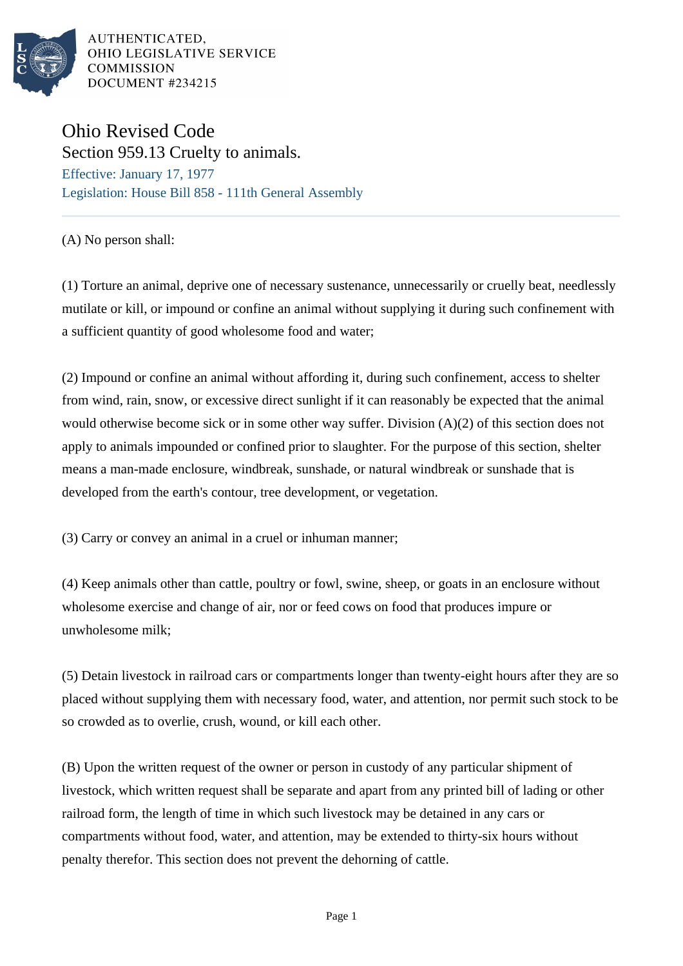

AUTHENTICATED, OHIO LEGISLATIVE SERVICE COMMISSION DOCUMENT #234215

## Ohio Revised Code Section 959.13 Cruelty to animals.

Effective: January 17, 1977 Legislation: House Bill 858 - 111th General Assembly

(A) No person shall:

(1) Torture an animal, deprive one of necessary sustenance, unnecessarily or cruelly beat, needlessly mutilate or kill, or impound or confine an animal without supplying it during such confinement with a sufficient quantity of good wholesome food and water;

(2) Impound or confine an animal without affording it, during such confinement, access to shelter from wind, rain, snow, or excessive direct sunlight if it can reasonably be expected that the animal would otherwise become sick or in some other way suffer. Division (A)(2) of this section does not apply to animals impounded or confined prior to slaughter. For the purpose of this section, shelter means a man-made enclosure, windbreak, sunshade, or natural windbreak or sunshade that is developed from the earth's contour, tree development, or vegetation.

(3) Carry or convey an animal in a cruel or inhuman manner;

(4) Keep animals other than cattle, poultry or fowl, swine, sheep, or goats in an enclosure without wholesome exercise and change of air, nor or feed cows on food that produces impure or unwholesome milk;

(5) Detain livestock in railroad cars or compartments longer than twenty-eight hours after they are so placed without supplying them with necessary food, water, and attention, nor permit such stock to be so crowded as to overlie, crush, wound, or kill each other.

(B) Upon the written request of the owner or person in custody of any particular shipment of livestock, which written request shall be separate and apart from any printed bill of lading or other railroad form, the length of time in which such livestock may be detained in any cars or compartments without food, water, and attention, may be extended to thirty-six hours without penalty therefor. This section does not prevent the dehorning of cattle.